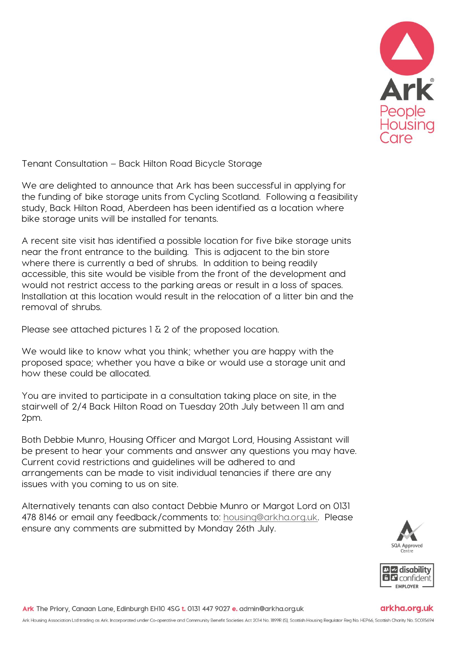

Tenant Consultation – Back Hilton Road Bicycle Storage

We are delighted to announce that Ark has been successful in applying for the funding of bike storage units from Cycling Scotland. Following a feasibility study, Back Hilton Road, Aberdeen has been identified as a location where bike storage units will be installed for tenants.

A recent site visit has identified a possible location for five bike storage units near the front entrance to the building. This is adjacent to the bin store where there is currently a bed of shrubs. In addition to being readily accessible, this site would be visible from the front of the development and would not restrict access to the parking areas or result in a loss of spaces. Installation at this location would result in the relocation of a litter bin and the removal of shrubs.

Please see attached pictures  $1 \overline{a}$  2 of the proposed location.

We would like to know what you think; whether you are happy with the proposed space; whether you have a bike or would use a storage unit and how these could be allocated.

You are invited to participate in a consultation taking place on site, in the stairwell of 2/4 Back Hilton Road on Tuesday 20th July between 11 am and 2pm.

Both Debbie Munro, Housing Officer and Margot Lord, Housing Assistant will be present to hear your comments and answer any questions you may have. Current covid restrictions and guidelines will be adhered to and arrangements can be made to visit individual tenancies if there are any issues with you coming to us on site.

Alternatively tenants can also contact Debbie Munro or Margot Lord on 0131 478 8146 or email any feedback/comments to: [housing@arkha.org.uk.](mailto:housing@arkha.org.uk) Please ensure any comments are submitted by Monday 26th July.





## arkha.org.uk

Ark The Priory, Canaan Lane, Edinburgh EH10 4SG t. 0131 447 9027 e. admin@arkha.org.uk